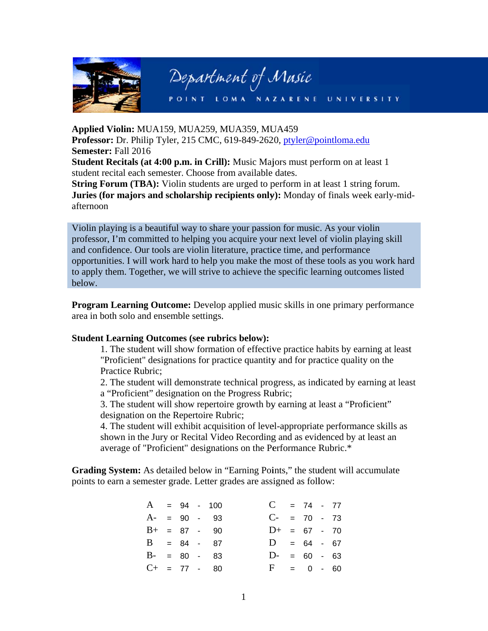

# Department of Music

POINT LOMA NAZARENE **UNIVERSITY** 

Applied Violin: MUA159, MUA259, MUA359, MUA459 Professor: Dr. Philip Tyler, 215 CMC, 619-849-2620, ptyler@pointloma.edu **Semester: Fall 2016** Student Recitals (at 4:00 p.m. in Crill): Music Majors must perform on at least 1 student recital each semester. Choose from available dates.

String Forum (TBA): Violin students are urged to perform in at least 1 string forum. Juries (for majors and scholarship recipients only): Monday of finals week early-midafternoon

Violin playing is a beautiful way to share your passion for music. As your violin professor, I'm committed to helping you acquire your next level of violin playing skill and confidence. Our tools are violin literature, practice time, and performance opportunities. I will work hard to help you make the most of these tools as you work hard to apply them. Together, we will strive to achieve the specific learning outcomes listed below.

**Program Learning Outcome:** Develop applied music skills in one primary performance area in both solo and ensemble settings.

## **Student Learning Outcomes (see rubrics below):**

1. The student will show formation of effective practice habits by earning at least "Proficient" designations for practice quantity and for practice quality on the Practice Rubric:

2. The student will demonstrate technical progress, as indicated by earning at least a "Proficient" designation on the Progress Rubric;

3. The student will show repertoire growth by earning at least a "Proficient" designation on the Repertoire Rubric;

4. The student will exhibit acquisition of level-appropriate performance skills as shown in the Jury or Recital Video Recording and as evidenced by at least an average of "Proficient" designations on the Performance Rubric.\*

Grading System: As detailed below in "Earning Points," the student will accumulate points to earn a semester grade. Letter grades are assigned as follow:

|                |  | $A = 94 - 100$ | $C = 74 - 77$  |  |  |
|----------------|--|----------------|----------------|--|--|
|                |  | $A- = 90 - 93$ | $C- = 70 - 73$ |  |  |
|                |  | $B+ = 87 - 90$ | $D+ = 67 - 70$ |  |  |
| $B = 84 - 87$  |  |                | $D = 64 - 67$  |  |  |
|                |  | $B- = 80 - 83$ | $D- = 60 - 63$ |  |  |
| $C+ = 77 - 80$ |  |                | $F = 0 - 60$   |  |  |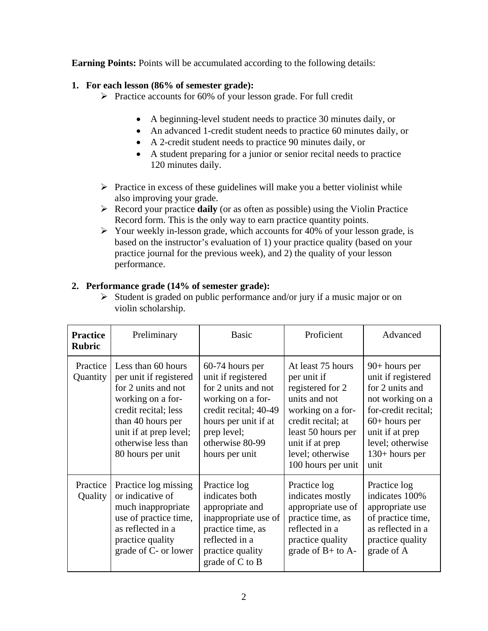**Earning Points:** Points will be accumulated according to the following details:

# **1. For each lesson (86% of semester grade):**

- $\triangleright$  Practice accounts for 60% of your lesson grade. For full credit
	- A beginning-level student needs to practice 30 minutes daily, or
	- An advanced 1-credit student needs to practice 60 minutes daily, or
	- A 2-credit student needs to practice 90 minutes daily, or
	- A student preparing for a junior or senior recital needs to practice 120 minutes daily.
- $\triangleright$  Practice in excess of these guidelines will make you a better violinist while also improving your grade.
- Record your practice **daily** (or as often as possible) using the Violin Practice Record form. This is the only way to earn practice quantity points.
- $\triangleright$  Your weekly in-lesson grade, which accounts for 40% of your lesson grade, is based on the instructor's evaluation of 1) your practice quality (based on your practice journal for the previous week), and 2) the quality of your lesson performance.

# **2. Performance grade (14% of semester grade):**

 $\triangleright$  Student is graded on public performance and/or jury if a music major or on violin scholarship.

| <b>Practice</b><br><b>Rubric</b> | Preliminary                                                                                                                                                                                                 | <b>Basic</b>                                                                                                                                                                           | Proficient                                                                                                                                                                                          | Advanced                                                                                                                                                                                  |
|----------------------------------|-------------------------------------------------------------------------------------------------------------------------------------------------------------------------------------------------------------|----------------------------------------------------------------------------------------------------------------------------------------------------------------------------------------|-----------------------------------------------------------------------------------------------------------------------------------------------------------------------------------------------------|-------------------------------------------------------------------------------------------------------------------------------------------------------------------------------------------|
| Practice<br>Quantity             | Less than 60 hours<br>per unit if registered<br>for 2 units and not<br>working on a for-<br>credit recital; less<br>than 40 hours per<br>unit if at prep level;<br>otherwise less than<br>80 hours per unit | 60-74 hours per<br>unit if registered<br>for 2 units and not<br>working on a for-<br>credit recital; 40-49<br>hours per unit if at<br>prep level;<br>otherwise 80-99<br>hours per unit | At least 75 hours<br>per unit if<br>registered for 2<br>units and not<br>working on a for-<br>credit recital; at<br>least 50 hours per<br>unit if at prep<br>level; otherwise<br>100 hours per unit | $90+$ hours per<br>unit if registered<br>for 2 units and<br>not working on a<br>for-credit recital;<br>$60+$ hours per<br>unit if at prep<br>level; otherwise<br>$130+ hours per$<br>unit |
| Practice<br>Quality              | Practice log missing<br>or indicative of<br>much inappropriate<br>use of practice time,<br>as reflected in a<br>practice quality<br>grade of C- or lower                                                    | Practice log<br>indicates both<br>appropriate and<br>inappropriate use of<br>practice time, as<br>reflected in a<br>practice quality<br>grade of C to B                                | Practice log<br>indicates mostly<br>appropriate use of<br>practice time, as<br>reflected in a<br>practice quality<br>grade of $B+$ to $A-$                                                          | Practice log<br>indicates 100%<br>appropriate use<br>of practice time,<br>as reflected in a<br>practice quality<br>grade of A                                                             |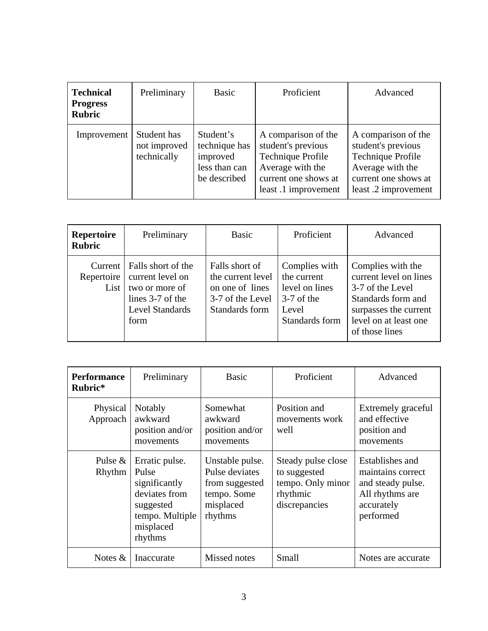| <b>Technical</b><br><b>Progress</b><br><b>Rubric</b> | Preliminary                                | Basic                                                                   | Proficient                                                                                                                         | Advanced                                                                                                                           |
|------------------------------------------------------|--------------------------------------------|-------------------------------------------------------------------------|------------------------------------------------------------------------------------------------------------------------------------|------------------------------------------------------------------------------------------------------------------------------------|
| Improvement                                          | Student has<br>not improved<br>technically | Student's<br>technique has<br>improved<br>less than can<br>be described | A comparison of the<br>student's previous<br>Technique Profile<br>Average with the<br>current one shows at<br>least .1 improvement | A comparison of the<br>student's previous<br>Technique Profile<br>Average with the<br>current one shows at<br>least .2 improvement |

| <b>Repertoire</b><br><b>Rubric</b> | Preliminary                                                                                                                    | Basic                                                                                        | Proficient                                                                                | Advanced                                                                                                                                                  |
|------------------------------------|--------------------------------------------------------------------------------------------------------------------------------|----------------------------------------------------------------------------------------------|-------------------------------------------------------------------------------------------|-----------------------------------------------------------------------------------------------------------------------------------------------------------|
| List                               | Current   Falls short of the<br>Repertoire   current level on<br>two or more of<br>lines 3-7 of the<br>Level Standards<br>form | Falls short of<br>the current level<br>on one of lines<br>3-7 of the Level<br>Standards form | Complies with<br>the current<br>level on lines<br>$3-7$ of the<br>Level<br>Standards form | Complies with the<br>current level on lines<br>3-7 of the Level<br>Standards form and<br>surpasses the current<br>level on at least one<br>of those lines |

| <b>Performance</b><br>Rubric* | Preliminary                                                                                                       | <b>Basic</b>                                                                               | Proficient                                                                           | Advanced                                                                                                |
|-------------------------------|-------------------------------------------------------------------------------------------------------------------|--------------------------------------------------------------------------------------------|--------------------------------------------------------------------------------------|---------------------------------------------------------------------------------------------------------|
| Physical<br>Approach          | Notably<br>awkward<br>position and/or<br>movements                                                                |                                                                                            | Position and<br>movements work<br>well                                               | Extremely graceful<br>and effective<br>position and<br>movements                                        |
| Pulse $\&$<br>Rhythm          | Erratic pulse.<br>Pulse<br>significantly<br>deviates from<br>suggested<br>tempo. Multiple<br>misplaced<br>rhythms | Unstable pulse.<br>Pulse deviates<br>from suggested<br>tempo. Some<br>misplaced<br>rhythms | Steady pulse close<br>to suggested<br>tempo. Only minor<br>rhythmic<br>discrepancies | Establishes and<br>maintains correct<br>and steady pulse.<br>All rhythms are<br>accurately<br>performed |
| Notes $\&$                    | Inaccurate                                                                                                        | Missed notes                                                                               | Small                                                                                | Notes are accurate.                                                                                     |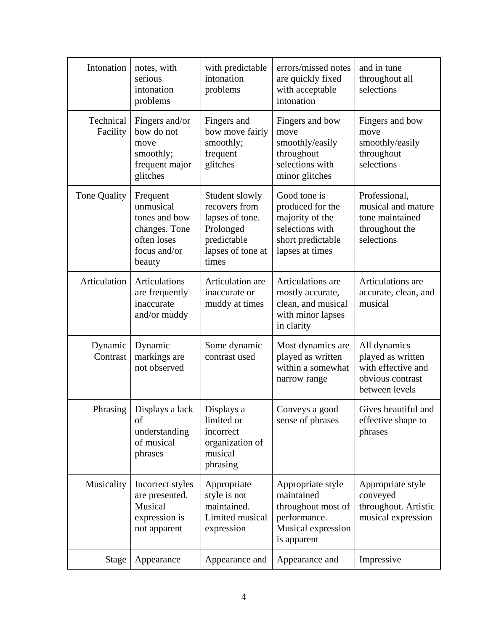| Intonation                                                                                   | notes, with<br>serious<br>intonation<br>problems                                                 | with predictable<br>intonation<br>problems                                                                   | errors/missed notes<br>are quickly fixed<br>with acceptable<br>intonation                                      | and in tune<br>throughout all<br>selections                                                   |
|----------------------------------------------------------------------------------------------|--------------------------------------------------------------------------------------------------|--------------------------------------------------------------------------------------------------------------|----------------------------------------------------------------------------------------------------------------|-----------------------------------------------------------------------------------------------|
| Technical<br>Facility                                                                        | Fingers and/or<br>bow do not<br>move<br>smoothly;<br>frequent major<br>glitches                  | Fingers and<br>bow move fairly<br>smoothly;<br>frequent<br>glitches                                          | Fingers and bow<br>move<br>smoothly/easily<br>throughout<br>selections with<br>minor glitches                  | Fingers and bow<br>move<br>smoothly/easily<br>throughout<br>selections                        |
| Tone Quality                                                                                 | Frequent<br>unmusical<br>tones and bow<br>changes. Tone<br>often loses<br>focus and/or<br>beauty | Student slowly<br>recovers from<br>lapses of tone.<br>Prolonged<br>predictable<br>lapses of tone at<br>times | Good tone is<br>produced for the<br>majority of the<br>selections with<br>short predictable<br>lapses at times | Professional,<br>musical and mature<br>tone maintained<br>throughout the<br>selections        |
| Articulation                                                                                 | Articulations<br>are frequently<br>inaccurate<br>and/or muddy                                    | Articulation are<br>inaccurate or<br>muddy at times                                                          | Articulations are<br>mostly accurate,<br>clean, and musical<br>with minor lapses<br>in clarity                 | Articulations are<br>accurate, clean, and<br>musical                                          |
| Dynamic<br>Contrast                                                                          | Dynamic<br>markings are<br>not observed                                                          | Some dynamic<br>contrast used                                                                                | Most dynamics are<br>played as written<br>within a somewhat<br>narrow range                                    | All dynamics<br>played as written<br>with effective and<br>obvious contrast<br>between levels |
| Phrasing                                                                                     | Displays a lack<br>of<br>understanding<br>of musical<br>phrases                                  | Displays a<br>limited or<br>incorrect<br>organization of<br>musical<br>phrasing                              | Conveys a good<br>sense of phrases                                                                             | Gives beautiful and<br>effective shape to<br>phrases                                          |
| Musicality<br>Incorrect styles<br>are presented.<br>Musical<br>expression is<br>not apparent |                                                                                                  | Appropriate<br>style is not<br>maintained.<br>Limited musical<br>expression                                  | Appropriate style<br>maintained<br>throughout most of<br>performance.<br>Musical expression<br>is apparent     | Appropriate style<br>conveyed<br>throughout. Artistic<br>musical expression                   |
| Stage                                                                                        | Appearance                                                                                       | Appearance and                                                                                               | Appearance and                                                                                                 | Impressive                                                                                    |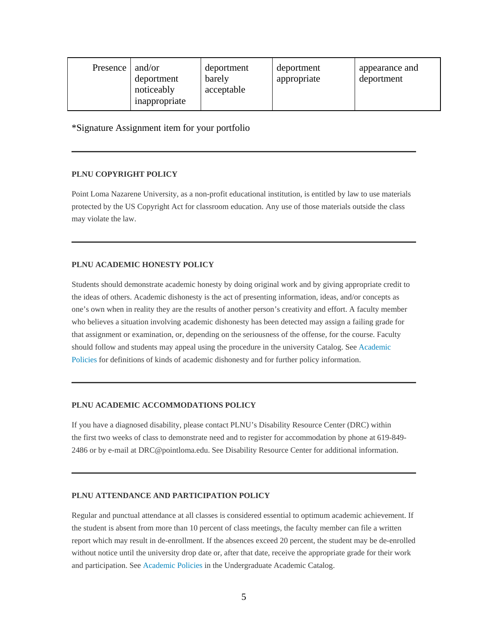| Presence | and/or<br>deportment<br>noticeably<br>inappropriate | deportment<br>barely<br>acceptable | deportment<br>appropriate | appearance and<br>deportment |
|----------|-----------------------------------------------------|------------------------------------|---------------------------|------------------------------|
|----------|-----------------------------------------------------|------------------------------------|---------------------------|------------------------------|

\*Signature Assignment item for your portfolio

#### **PLNU COPYRIGHT POLICY**

Point Loma Nazarene University, as a non-profit educational institution, is entitled by law to use materials protected by the US Copyright Act for classroom education. Any use of those materials outside the class may violate the law.

## **PLNU ACADEMIC HONESTY POLICY**

Students should demonstrate academic honesty by doing original work and by giving appropriate credit to the ideas of others. Academic dishonesty is the act of presenting information, ideas, and/or concepts as one's own when in reality they are the results of another person's creativity and effort. A faculty member who believes a situation involving academic dishonesty has been detected may assign a failing grade for that assignment or examination, or, depending on the seriousness of the offense, for the course. Faculty should follow and students may appeal using the procedure in the university Catalog. See Academic Policies for definitions of kinds of academic dishonesty and for further policy information.

## **PLNU ACADEMIC ACCOMMODATIONS POLICY**

If you have a diagnosed disability, please contact PLNU's Disability Resource Center (DRC) within the first two weeks of class to demonstrate need and to register for accommodation by phone at 619-849- 2486 or by e-mail at DRC@pointloma.edu. See Disability Resource Center for additional information.

#### **PLNU ATTENDANCE AND PARTICIPATION POLICY**

Regular and punctual attendance at all classes is considered essential to optimum academic achievement. If the student is absent from more than 10 percent of class meetings, the faculty member can file a written report which may result in de-enrollment. If the absences exceed 20 percent, the student may be de-enrolled without notice until the university drop date or, after that date, receive the appropriate grade for their work and participation. See Academic Policies in the Undergraduate Academic Catalog.